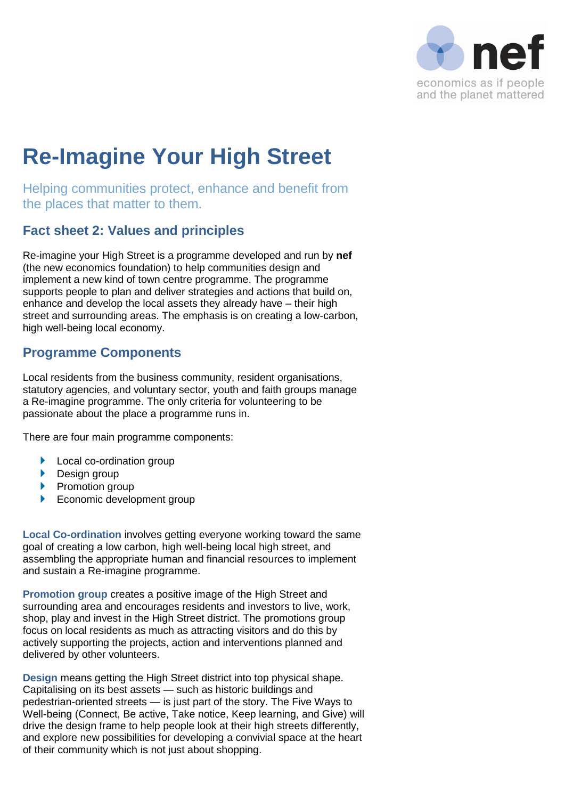

# **Re-Imagine Your High Street**

Helping communities protect, enhance and benefit from the places that matter to them.

## **Fact sheet 2: Values and principles**

Re-imagine your High Street is a programme developed and run by **nef** (the new economics foundation) to help communities design and implement a new kind of town centre programme. The programme supports people to plan and deliver strategies and actions that build on, enhance and develop the local assets they already have – their high street and surrounding areas. The emphasis is on creating a low-carbon, high well-being local economy.

## **Programme Components**

Local residents from the business community, resident organisations, statutory agencies, and voluntary sector, youth and faith groups manage a Re-imagine programme. The only criteria for volunteering to be passionate about the place a programme runs in.

There are four main programme components:

- **Local co-ordination group**
- **Design group**
- $\blacktriangleright$  Promotion group
- Economic development group

**Local Co-ordination** involves getting everyone working toward the same goal of creating a low carbon, high well-being local high street, and assembling the appropriate human and financial resources to implement and sustain a Re-imagine programme.

**Promotion group** creates a positive image of the High Street and surrounding area and encourages residents and investors to live, work, shop, play and invest in the High Street district. The promotions group focus on local residents as much as attracting visitors and do this by actively supporting the projects, action and interventions planned and delivered by other volunteers.

**Design** means getting the High Street district into top physical shape. Capitalising on its best assets — such as historic buildings and pedestrian-oriented streets — is just part of the story. The Five Ways to Well-being (Connect, Be active, Take notice, Keep learning, and Give) will drive the design frame to help people look at their high streets differently, and explore new possibilities for developing a convivial space at the heart of their community which is not just about shopping.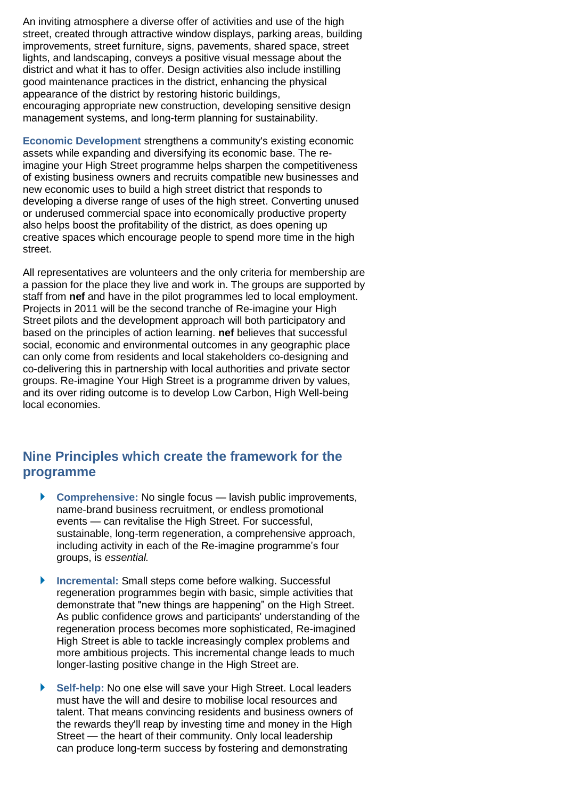An inviting atmosphere a diverse offer of activities and use of the high street, created through attractive window displays, parking areas, building improvements, street furniture, signs, pavements, shared space, street lights, and landscaping, conveys a positive visual message about the district and what it has to offer. Design activities also include instilling good maintenance practices in the district, enhancing the physical appearance of the district by restoring historic buildings, encouraging appropriate new construction, developing sensitive design management systems, and long-term planning for sustainability.

**Economic Development** strengthens a community's existing economic assets while expanding and diversifying its economic base. The reimagine your High Street programme helps sharpen the competitiveness of existing business owners and recruits compatible new businesses and new economic uses to build a high street district that responds to developing a diverse range of uses of the high street. Converting unused or underused commercial space into economically productive property also helps boost the profitability of the district, as does opening up creative spaces which encourage people to spend more time in the high street.

All representatives are volunteers and the only criteria for membership are a passion for the place they live and work in. The groups are supported by staff from **nef** and have in the pilot programmes led to local employment. Projects in 2011 will be the second tranche of Re-imagine your High Street pilots and the development approach will both participatory and based on the principles of action learning. **nef** believes that successful social, economic and environmental outcomes in any geographic place can only come from residents and local stakeholders co-designing and co-delivering this in partnership with local authorities and private sector groups. Re-imagine Your High Street is a programme driven by values, and its over riding outcome is to develop Low Carbon, High Well-being local economies.

#### **Nine Principles which create the framework for the programme**

- **Comprehensive:** No single focus lavish public improvements, name-brand business recruitment, or endless promotional events — can revitalise the High Street. For successful, sustainable, long-term regeneration, a comprehensive approach, including activity in each of the Re-imagine programme's four groups, is *essential.*
- **Incremental: Small steps come before walking. Successful** regeneration programmes begin with basic, simple activities that demonstrate that "new things are happening" on the High Street. As public confidence grows and participants' understanding of the regeneration process becomes more sophisticated, Re-imagined High Street is able to tackle increasingly complex problems and more ambitious projects. This incremental change leads to much longer-lasting positive change in the High Street are.
- **Self-help:** No one else will save your High Street. Local leaders must have the will and desire to mobilise local resources and talent. That means convincing residents and business owners of the rewards they'll reap by investing time and money in the High Street — the heart of their community. Only local leadership can produce long-term success by fostering and demonstrating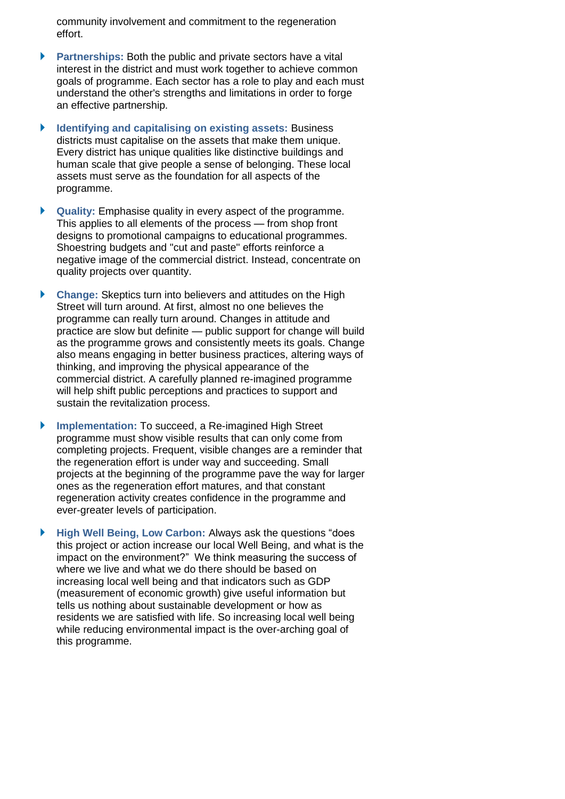community involvement and commitment to the regeneration effort.

- **Partnerships:** Both the public and private sectors have a vital interest in the district and must work together to achieve common goals of programme. Each sector has a role to play and each must understand the other's strengths and limitations in order to forge an effective partnership.
- **Identifying and capitalising on existing assets:** Business districts must capitalise on the assets that make them unique. Every district has unique qualities like distinctive buildings and human scale that give people a sense of belonging. These local assets must serve as the foundation for all aspects of the programme.
- **Quality:** Emphasise quality in every aspect of the programme. This applies to all elements of the process — from shop front designs to promotional campaigns to educational programmes. Shoestring budgets and "cut and paste" efforts reinforce a negative image of the commercial district. Instead, concentrate on quality projects over quantity.
- **Change:** Skeptics turn into believers and attitudes on the High Street will turn around. At first, almost no one believes the programme can really turn around. Changes in attitude and practice are slow but definite — public support for change will build as the programme grows and consistently meets its goals. Change also means engaging in better business practices, altering ways of thinking, and improving the physical appearance of the commercial district. A carefully planned re-imagined programme will help shift public perceptions and practices to support and sustain the revitalization process.
- **Implementation:** To succeed, a Re-imagined High Street programme must show visible results that can only come from completing projects. Frequent, visible changes are a reminder that the regeneration effort is under way and succeeding. Small projects at the beginning of the programme pave the way for larger ones as the regeneration effort matures, and that constant regeneration activity creates confidence in the programme and ever-greater levels of participation.
- High Well Being, Low Carbon: Always ask the questions "does" this project or action increase our local Well Being, and what is the impact on the environment?" We think measuring the success of where we live and what we do there should be based on increasing local well being and that indicators such as GDP (measurement of economic growth) give useful information but tells us nothing about sustainable development or how as residents we are satisfied with life. So increasing local well being while reducing environmental impact is the over-arching goal of this programme.